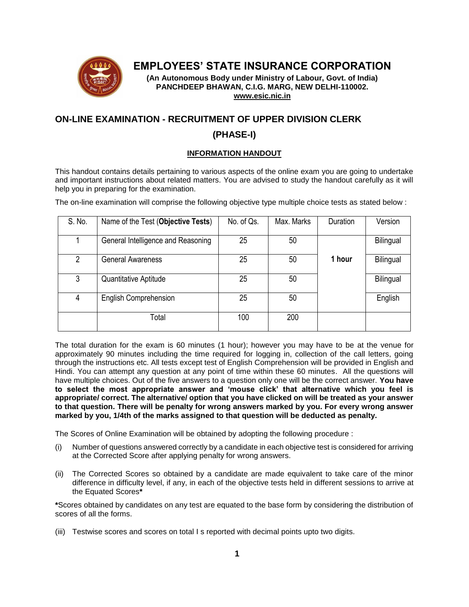

# **EMPLOYEES' STATE INSURANCE CORPORATION**

**(An Autonomous Body under Ministry of Labour, Govt. of India) PANCHDEEP BHAWAN, C.I.G. MARG, NEW DELHI-110002. [www.esic.nic.in](http://www.esic.nic.in/)**

# **ON-LINE EXAMINATION - RECRUITMENT OF UPPER DIVISION CLERK**

### **(PHASE-I)**

### **INFORMATION HANDOUT**

This handout contains details pertaining to various aspects of the online exam you are going to undertake and important instructions about related matters. You are advised to study the handout carefully as it will help you in preparing for the examination.

The on-line examination will comprise the following objective type multiple choice tests as stated below :

| S. No. | Name of the Test (Objective Tests) | No. of Qs. | Max. Marks | Duration | Version   |
|--------|------------------------------------|------------|------------|----------|-----------|
|        | General Intelligence and Reasoning | 25         | 50         |          | Bilingual |
| 2      | <b>General Awareness</b>           | 25         | 50         | 1 hour   | Bilingual |
| 3      | <b>Quantitative Aptitude</b>       | 25         | 50         |          | Bilingual |
| 4      | <b>English Comprehension</b>       | 25         | 50         |          | English   |
|        | Total                              | 100        | 200        |          |           |

The total duration for the exam is 60 minutes (1 hour); however you may have to be at the venue for approximately 90 minutes including the time required for logging in, collection of the call letters, going through the instructions etc. All tests except test of English Comprehension will be provided in English and Hindi. You can attempt any question at any point of time within these 60 minutes. All the questions will have multiple choices. Out of the five answers to a question only one will be the correct answer. **You have to select the most appropriate answer and 'mouse click' that alternative which you feel is appropriate/ correct. The alternative/ option that you have clicked on will be treated as your answer to that question. There will be penalty for wrong answers marked by you. For every wrong answer marked by you, 1/4th of the marks assigned to that question will be deducted as penalty.**

The Scores of Online Examination will be obtained by adopting the following procedure :

- Number of questions answered correctly by a candidate in each objective test is considered for arriving at the Corrected Score after applying penalty for wrong answers.
- (ii) The Corrected Scores so obtained by a candidate are made equivalent to take care of the minor difference in difficulty level, if any, in each of the objective tests held in different sessions to arrive at the Equated Scores**\***

**\***Scores obtained by candidates on any test are equated to the base form by considering the distribution of scores of all the forms.

(iii) Testwise scores and scores on total I s reported with decimal points upto two digits.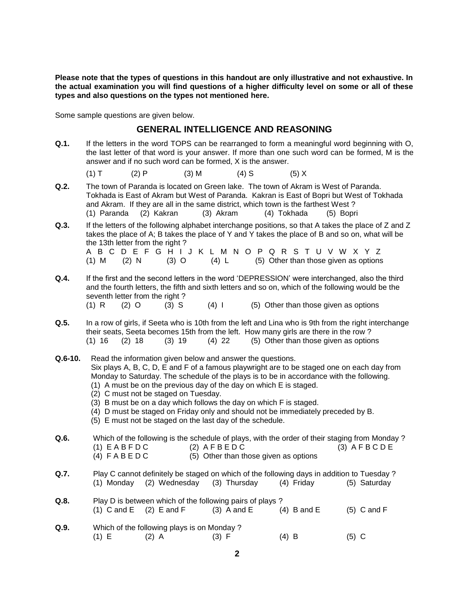**Please note that the types of questions in this handout are only illustrative and not exhaustive. In the actual examination you will find questions of a higher difficulty level on some or all of these types and also questions on the types not mentioned here.**

Some sample questions are given below.

### **GENERAL INTELLIGENCE AND REASONING**

**Q.1.** If the letters in the word TOPS can be rearranged to form a meaningful word beginning with O, the last letter of that word is your answer. If more than one such word can be formed, M is the answer and if no such word can be formed, X is the answer.

(1) T (2) P (3) M (4) S (5) X

- **Q.2.** The town of Paranda is located on Green lake. The town of Akram is West of Paranda. Tokhada is East of Akram but West of Paranda. Kakran is East of Bopri but West of Tokhada and Akram. If they are all in the same district, which town is the farthest West ? (1) Paranda (2) Kakran (3) Akram (4) Tokhada (5) Bopri
- **Q.3.** If the letters of the following alphabet interchange positions, so that A takes the place of Z and Z takes the place of A; B takes the place of Y and Y takes the place of B and so on, what will be the 13th letter from the right ? A B C D E F G H I J K L M N O P Q R S T U V W X Y Z

(1) M (2) N (3) O (4) L (5) Other than those given as options

- **Q.4.** If the first and the second letters in the word 'DEPRESSION' were interchanged, also the third and the fourth letters, the fifth and sixth letters and so on, which of the following would be the seventh letter from the right? (1) R  $(2)$  O  $(3)$  S  $(4)$  I  $(5)$  Other than those given as options
- **Q.5.** In a row of girls, if Seeta who is 10th from the left and Lina who is 9th from the right interchange their seats, Seeta becomes 15th from the left. How many girls are there in the row ? (1) 16 (2) 18 (3) 19 (4) 22 (5) Other than those given as options
- **Q.6-10.** Read the information given below and answer the questions. Six plays A, B, C, D, E and F of a famous playwright are to be staged one on each day from Monday to Saturday. The schedule of the plays is to be in accordance with the following. (1) A must be on the previous day of the day on which E is staged. (2) C must not be staged on Tuesday. (3) B must be on a day which follows the day on which F is staged. (4) D must be staged on Friday only and should not be immediately preceded by B. (5) E must not be staged on the last day of the schedule. **Q.6.** Which of the following is the schedule of plays, with the order of their staging from Monday ? (1)  $E$  A B F D C (2)  $A$  F B E D C (3)  $A$  F B C D E (4)  $F \land B \in D C$  (5) Other than those given as options **Q.7.** Play C cannot definitely be staged on which of the following days in addition to Tuesday ? (1) Monday (2) Wednesday (3) Thursday (4) Friday (5) Saturday **Q.8.** Play D is between which of the following pairs of plays ? (1) C and E  $(2)$  E and F  $(3)$  A and E  $(4)$  B and E  $(5)$  C and F **Q.9.** Which of the following plays is on Monday ? (1) E (2) A (3) F (4) B (5) C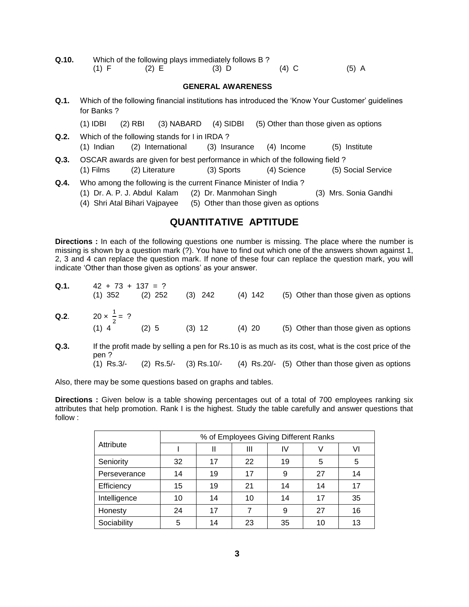| Q.10. | Which of the following plays immediately follows B? |       |         |         |         |  |  |  |  |
|-------|-----------------------------------------------------|-------|---------|---------|---------|--|--|--|--|
|       | (1) F                                               | (2) E | $(3)$ D | $(4)$ C | $(5)$ A |  |  |  |  |

#### **GENERAL AWARENESS**

| Q.1. | for Banks?   |                                                               |                                                                   |                        |                                                                                                            | Which of the following financial institutions has introduced the 'Know Your Customer' guidelines |
|------|--------------|---------------------------------------------------------------|-------------------------------------------------------------------|------------------------|------------------------------------------------------------------------------------------------------------|--------------------------------------------------------------------------------------------------|
|      | $(1)$ IDBI   | $(2)$ RBI                                                     | $(3)$ NABARD                                                      | $(4)$ SIDBI            |                                                                                                            | (5) Other than those given as options                                                            |
| Q.2. | $(1)$ Indian |                                                               | Which of the following stands for I in IRDA?<br>(2) International | (3) Insurance          | (4) Income                                                                                                 | (5) Institute                                                                                    |
| Q.3. | $(1)$ Films  | (2) Literature                                                |                                                                   | (3) Sports             | OSCAR awards are given for best performance in which of the following field?<br>(4) Science                | (5) Social Service                                                                               |
| Q.4. |              | (1) Dr. A. P. J. Abdul Kalam<br>(4) Shri Atal Bihari Vajpayee |                                                                   | (2) Dr. Manmohan Singh | Who among the following is the current Finance Minister of India?<br>(5) Other than those given as options | (3) Mrs. Sonia Gandhi                                                                            |

## **QUANTITATIVE APTITUDE**

**Directions :** In each of the following questions one number is missing. The place where the number is missing is shown by a question mark (?). You have to find out which one of the answers shown against 1, 2, 3 and 4 can replace the question mark. If none of these four can replace the question mark, you will indicate 'Other than those given as options' as your answer.

| Q.1. | $42 + 73 + 137 = ?$<br>$(1)$ 352                   | $(2)$ 252    | $(3)$ 242   | $(4)$ 142 | (5) Other than those given as options                                                                                                                    |
|------|----------------------------------------------------|--------------|-------------|-----------|----------------------------------------------------------------------------------------------------------------------------------------------------------|
|      | <b>Q.2.</b> 20 $\times \frac{1}{2} = ?$<br>$(1)$ 4 | (2) 5        | $(3)$ 12    | $(4)$ 20  | (5) Other than those given as options                                                                                                                    |
| Q.3. | pen?<br>$(1)$ Rs.3/-                               | $(2)$ Rs.5/- | (3) Rs.10/- |           | If the profit made by selling a pen for Rs.10 is as much as its cost, what is the cost price of the<br>(4) Rs.20/- (5) Other than those given as options |

Also, there may be some questions based on graphs and tables.

**Directions :** Given below is a table showing percentages out of a total of 700 employees ranking six attributes that help promotion. Rank I is the highest. Study the table carefully and answer questions that follow :

|              | % of Employees Giving Different Ranks |    |    |    |    |    |  |  |  |
|--------------|---------------------------------------|----|----|----|----|----|--|--|--|
| Attribute    |                                       |    | Ш  | IV |    | VI |  |  |  |
| Seniority    | 32                                    | 17 | 22 | 19 | 5  | 5  |  |  |  |
| Perseverance | 14                                    | 19 | 17 | 9  | 27 | 14 |  |  |  |
| Efficiency   | 15                                    | 19 | 21 | 14 | 14 | 17 |  |  |  |
| Intelligence | 10                                    | 14 | 10 | 14 | 17 | 35 |  |  |  |
| Honesty      | 24                                    | 17 |    | 9  | 27 | 16 |  |  |  |
| Sociability  | 5                                     | 14 | 23 | 35 | 10 | 13 |  |  |  |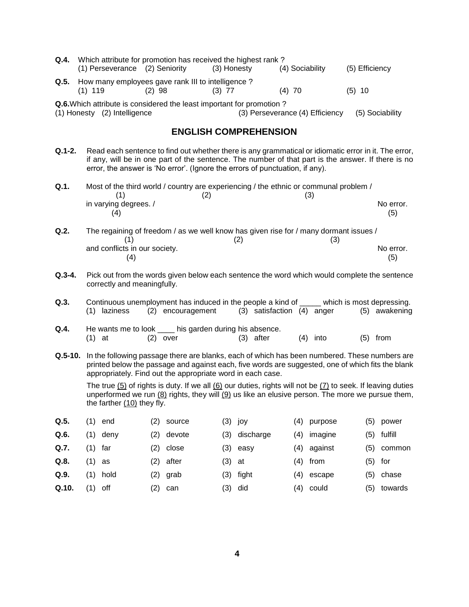|                                                               | <b>Q.4.</b> Which attribute for promotion has received the highest rank? |          |                                                                              |                 |                |  |  |  |  |
|---------------------------------------------------------------|--------------------------------------------------------------------------|----------|------------------------------------------------------------------------------|-----------------|----------------|--|--|--|--|
|                                                               | (1) Perseverance (2) Seniority                                           |          | (3) Honesty                                                                  | (4) Sociability | (5) Efficiency |  |  |  |  |
| <b>Q.5.</b> How many employees gave rank III to intelligence? |                                                                          |          |                                                                              |                 |                |  |  |  |  |
|                                                               | $(1)$ 119                                                                | $(2)$ 98 | $(3)$ 77                                                                     | $(4)$ 70        | $(5)$ 10       |  |  |  |  |
|                                                               |                                                                          |          | <b>Q.6.</b> Which attribute is considered the least important for promotion? |                 |                |  |  |  |  |

(1) Honesty (2) Intelligence (3) Perseverance (4) Efficiency (5) Sociability

### **ENGLISH COMPREHENSION**

**Q.1-2.** Read each sentence to find out whether there is any grammatical or idiomatic error in it. The error, if any, will be in one part of the sentence. The number of that part is the answer. If there is no error, the answer is 'No error'. (Ignore the errors of punctuation, if any).

| Q.1. | Most of the third world / country are experiencing / the ethnic or communal problem / |     |     |           |  |  |  |
|------|---------------------------------------------------------------------------------------|-----|-----|-----------|--|--|--|
|      |                                                                                       | (2) | (3) |           |  |  |  |
|      | in varying degrees. /                                                                 |     |     | No error. |  |  |  |
|      | 4                                                                                     |     |     | (5)       |  |  |  |
|      |                                                                                       |     |     |           |  |  |  |

- **Q.2.** The regaining of freedom / as we well know has given rise for / many dormant issues /  $(1)$   $(2)$   $(3)$ and conflicts in our society. The conflicts in our society. The conflicts in our society.  $(4)$  (5)
- **Q.3-4.** Pick out from the words given below each sentence the word which would complete the sentence correctly and meaningfully.
- **Q.3.** Continuous unemployment has induced in the people a kind of \_\_\_\_\_ which is most depressing. (1) laziness (2) encouragement (3) satisfaction (4) anger (5) awakening
- **Q.4.** He wants me to look \_\_\_\_ his garden during his absence.  $(1)$  at  $(2)$  over  $(3)$  after  $(4)$  into  $(5)$  from
- **Q.5-10.** In the following passage there are blanks, each of which has been numbered. These numbers are printed below the passage and against each, five words are suggested, one of which fits the blank appropriately. Find out the appropriate word in each case.

The true  $(5)$  of rights is duty. If we all  $(6)$  our duties, rights will not be  $(7)$  to seek. If leaving duties unperformed we run (8) rights, they will (9) us like an elusive person. The more we pursue them, the farther  $(10)$  they fly.

| Q.5.  | (1)      | end        | (2)       | source | (3) | joy           | (4) | purpose     | (5) | power   |
|-------|----------|------------|-----------|--------|-----|---------------|-----|-------------|-----|---------|
| Q.6.  | (1)      | deny       | (2)       | devote |     | (3) discharge | (4) | imagine     | (5) | fulfill |
| Q.7.  | (1)      | far        | (2)       | close  | (3) | easy          |     | (4) against | (5) | common  |
| Q.8.  | $(1)$ as |            | (2)       | after  | (3) | at            |     | (4) from    | (5) | for     |
| Q.9.  |          | $(1)$ hold | (2)       | grab   | (3) | fight         | (4) | escape      | (5) | chase   |
| Q.10. | (1)      | off        | $(2)^{-}$ | can    |     | (3) did       |     | (4) could   | (5) | towards |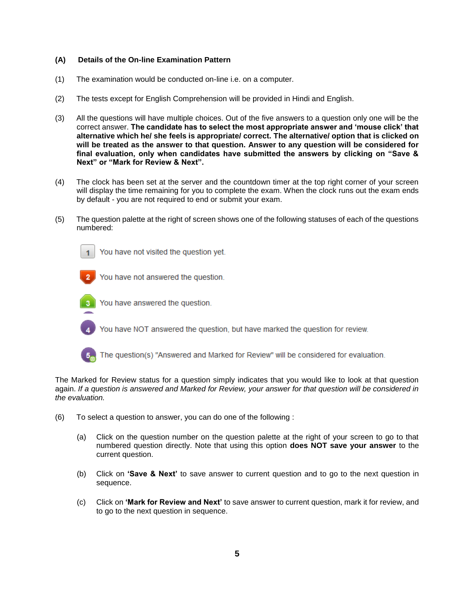#### **(A) Details of the On-line Examination Pattern**

- (1) The examination would be conducted on-line i.e. on a computer.
- (2) The tests except for English Comprehension will be provided in Hindi and English.
- (3) All the questions will have multiple choices. Out of the five answers to a question only one will be the correct answer. **The candidate has to select the most appropriate answer and 'mouse click' that alternative which he/ she feels is appropriate/ correct. The alternative/ option that is clicked on will be treated as the answer to that question. Answer to any question will be considered for final evaluation, only when candidates have submitted the answers by clicking on "Save & Next" or "Mark for Review & Next".**
- (4) The clock has been set at the server and the countdown timer at the top right corner of your screen will display the time remaining for you to complete the exam. When the clock runs out the exam ends by default - you are not required to end or submit your exam.
- (5) The question palette at the right of screen shows one of the following statuses of each of the questions numbered:



You have not visited the question yet.

You have not answered the question.



You have answered the question.

You have NOT answered the question, but have marked the question for review.



The question(s) "Answered and Marked for Review" will be considered for evaluation.

The Marked for Review status for a question simply indicates that you would like to look at that question again. *If a question is answered and Marked for Review, your answer for that question will be considered in the evaluation.*

- (6) To select a question to answer, you can do one of the following :
	- (a) Click on the question number on the question palette at the right of your screen to go to that numbered question directly. Note that using this option **does NOT save your answer** to the current question.
	- (b) Click on **'Save & Next'** to save answer to current question and to go to the next question in sequence.
	- (c) Click on **'Mark for Review and Next'** to save answer to current question, mark it for review, and to go to the next question in sequence.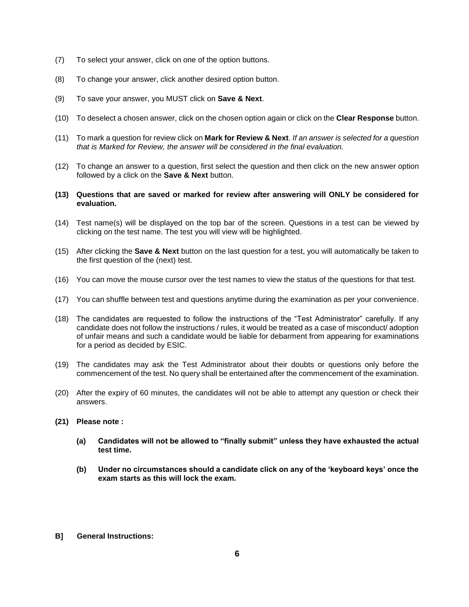- (7) To select your answer, click on one of the option buttons.
- (8) To change your answer, click another desired option button.
- (9) To save your answer, you MUST click on **Save & Next**.
- (10) To deselect a chosen answer, click on the chosen option again or click on the **Clear Response** button.
- (11) To mark a question for review click on **Mark for Review & Next**. *If an answer is selected for a question that is Marked for Review, the answer will be considered in the final evaluation.*
- (12) To change an answer to a question, first select the question and then click on the new answer option followed by a click on the **Save & Next** button.
- **(13) Questions that are saved or marked for review after answering will ONLY be considered for evaluation.**
- (14) Test name(s) will be displayed on the top bar of the screen. Questions in a test can be viewed by clicking on the test name. The test you will view will be highlighted.
- (15) After clicking the **Save & Next** button on the last question for a test, you will automatically be taken to the first question of the (next) test.
- (16) You can move the mouse cursor over the test names to view the status of the questions for that test.
- (17) You can shuffle between test and questions anytime during the examination as per your convenience.
- (18) The candidates are requested to follow the instructions of the "Test Administrator" carefully. If any candidate does not follow the instructions / rules, it would be treated as a case of misconduct/ adoption of unfair means and such a candidate would be liable for debarment from appearing for examinations for a period as decided by ESIC.
- (19) The candidates may ask the Test Administrator about their doubts or questions only before the commencement of the test. No query shall be entertained after the commencement of the examination.
- (20) After the expiry of 60 minutes, the candidates will not be able to attempt any question or check their answers.
- **(21) Please note :**
	- **(a) Candidates will not be allowed to "finally submit" unless they have exhausted the actual test time.**
	- **(b) Under no circumstances should a candidate click on any of the 'keyboard keys' once the exam starts as this will lock the exam.**
- **B] General Instructions:**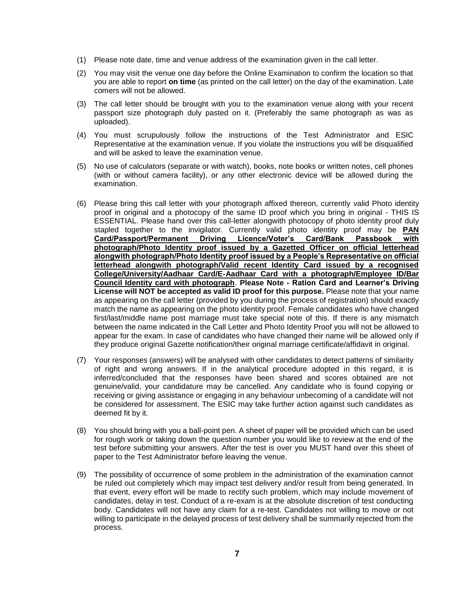- (1) Please note date, time and venue address of the examination given in the call letter.
- (2) You may visit the venue one day before the Online Examination to confirm the location so that you are able to report **on time** (as printed on the call letter) on the day of the examination. Late comers will not be allowed.
- (3) The call letter should be brought with you to the examination venue along with your recent passport size photograph duly pasted on it. (Preferably the same photograph as was as uploaded).
- (4) You must scrupulously follow the instructions of the Test Administrator and ESIC Representative at the examination venue. If you violate the instructions you will be disqualified and will be asked to leave the examination venue.
- (5) No use of calculators (separate or with watch), books, note books or written notes, cell phones (with or without camera facility), or any other electronic device will be allowed during the examination.
- (6) Please bring this call letter with your photograph affixed thereon, currently valid Photo identity proof in original and a photocopy of the same ID proof which you bring in original - THIS IS ESSENTIAL. Please hand over this call-letter alongwith photocopy of photo identity proof duly stapled together to the invigilator. Currently valid photo identity proof may be **PAN Card/Passport/Permanent Driving Licence/Voter's Card/Bank Passbook with photograph/Photo Identity proof issued by a Gazetted Officer on official letterhead alongwith photograph/Photo Identity proof issued by a People's Representative on official letterhead alongwith photograph/Valid recent Identity Card issued by a recognised College/University/Aadhaar Card/E-Aadhaar Card with a photograph/Employee ID/Bar Council Identity card with photograph**. **Please Note - Ration Card and Learner's Driving License will NOT be accepted as valid ID proof for this purpose.** Please note that your name as appearing on the call letter (provided by you during the process of registration) should exactly match the name as appearing on the photo identity proof. Female candidates who have changed first/last/middle name post marriage must take special note of this. If there is any mismatch between the name indicated in the Call Letter and Photo Identity Proof you will not be allowed to appear for the exam. In case of candidates who have changed their name will be allowed only if they produce original Gazette notification/their original marriage certificate/affidavit in original.
- (7) Your responses (answers) will be analysed with other candidates to detect patterns of similarity of right and wrong answers. If in the analytical procedure adopted in this regard, it is inferred/concluded that the responses have been shared and scores obtained are not genuine/valid, your candidature may be cancelled. Any candidate who is found copying or receiving or giving assistance or engaging in any behaviour unbecoming of a candidate will not be considered for assessment. The ESIC may take further action against such candidates as deemed fit by it.
- (8) You should bring with you a ball-point pen. A sheet of paper will be provided which can be used for rough work or taking down the question number you would like to review at the end of the test before submitting your answers. After the test is over you MUST hand over this sheet of paper to the Test Administrator before leaving the venue.
- (9) The possibility of occurrence of some problem in the administration of the examination cannot be ruled out completely which may impact test delivery and/or result from being generated. In that event, every effort will be made to rectify such problem, which may include movement of candidates, delay in test. Conduct of a re-exam is at the absolute discretion of test conducting body. Candidates will not have any claim for a re-test. Candidates not willing to move or not willing to participate in the delayed process of test delivery shall be summarily rejected from the process.